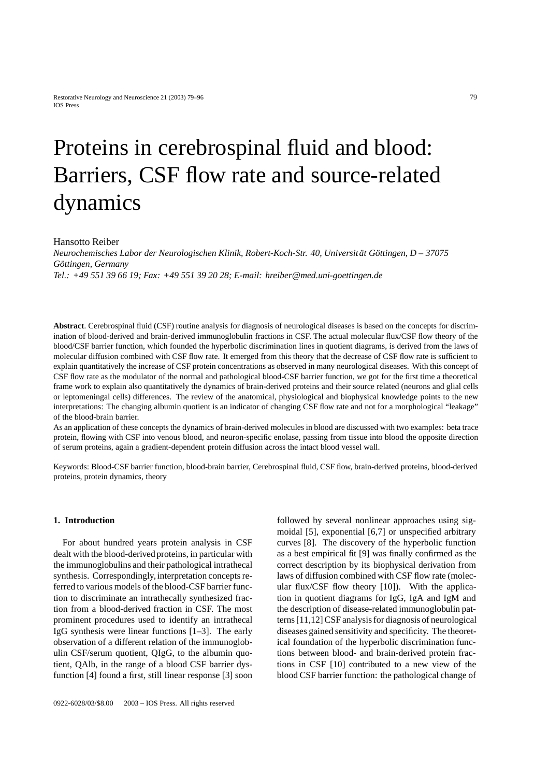# Proteins in cerebrospinal fluid and blood: Barriers, CSF flow rate and source-related dynamics

# Hansotto Reiber

*Neurochemisches Labor der Neurologischen Klinik, Robert-Koch-Str. 40, Universitat G ¨ ottingen, D – 37075 ¨ Gottingen, Germany ¨ Tel.: +49 551 39 66 19; Fax: +49 551 39 20 28; E-mail: hreiber@med.uni-goettingen.de*

**Abstract**. Cerebrospinal fluid (CSF) routine analysis for diagnosis of neurological diseases is based on the concepts for discrimination of blood-derived and brain-derived immunoglobulin fractions in CSF. The actual molecular flux/CSF flow theory of the blood/CSF barrier function, which founded the hyperbolic discrimination lines in quotient diagrams, is derived from the laws of molecular diffusion combined with CSF flow rate. It emerged from this theory that the decrease of CSF flow rate is sufficient to explain quantitatively the increase of CSF protein concentrations as observed in many neurological diseases. With this concept of CSF flow rate as the modulator of the normal and pathological blood-CSF barrier function, we got for the first time a theoretical frame work to explain also quantitatively the dynamics of brain-derived proteins and their source related (neurons and glial cells or leptomeningal cells) differences. The review of the anatomical, physiological and biophysical knowledge points to the new interpretations: The changing albumin quotient is an indicator of changing CSF flow rate and not for a morphological "leakage" of the blood-brain barrier.

As an application of these concepts the dynamics of brain-derived molecules in blood are discussed with two examples: beta trace protein, flowing with CSF into venous blood, and neuron-specific enolase, passing from tissue into blood the opposite direction of serum proteins, again a gradient-dependent protein diffusion across the intact blood vessel wall.

Keywords: Blood-CSF barrier function, blood-brain barrier, Cerebrospinal fluid, CSF flow, brain-derived proteins, blood-derived proteins, protein dynamics, theory

# **1. Introduction**

For about hundred years protein analysis in CSF dealt with the blood-derived proteins, in particular with the immunoglobulins and their pathological intrathecal synthesis. Correspondingly, interpretation concepts referred to various models of the blood-CSF barrier function to discriminate an intrathecally synthesized fraction from a blood-derived fraction in CSF. The most prominent procedures used to identify an intrathecal IgG synthesis were linear functions [1–3]. The early observation of a different relation of the immunoglobulin CSF/serum quotient, QIgG, to the albumin quotient, QAlb, in the range of a blood CSF barrier dysfunction [4] found a first, still linear response [3] soon

followed by several nonlinear approaches using sigmoidal [5], exponential [6,7] or unspecified arbitrary curves [8]. The discovery of the hyperbolic function as a best empirical fit [9] was finally confirmed as the correct description by its biophysical derivation from laws of diffusion combined with CSF flow rate (molecular flux/CSF flow theory [10]). With the application in quotient diagrams for IgG, IgA and IgM and the description of disease-related immunoglobulin patterns [11,12] CSF analysis for diagnosis of neurological diseases gained sensitivity and specificity. The theoretical foundation of the hyperbolic discrimination functions between blood- and brain-derived protein fractions in CSF [10] contributed to a new view of the blood CSF barrier function: the pathological change of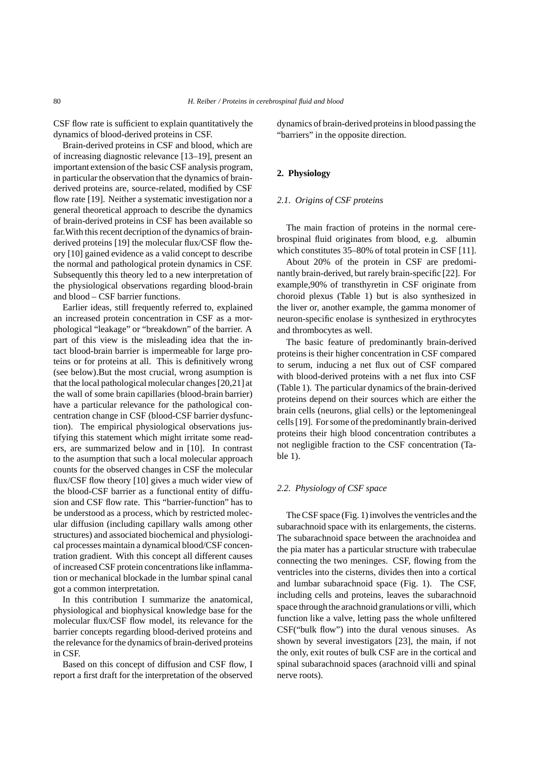CSF flow rate is sufficient to explain quantitatively the dynamics of blood-derived proteins in CSF.

Brain-derived proteins in CSF and blood, which are of increasing diagnostic relevance [13–19], present an important extension of the basic CSF analysis program, in particular the observation that the dynamics of brainderived proteins are, source-related, modified by CSF flow rate [19]. Neither a systematic investigation nor a general theoretical approach to describe the dynamics of brain-derived proteins in CSF has been available so far.With this recent decription of the dynamics of brainderived proteins [19] the molecular flux/CSF flow theory [10] gained evidence as a valid concept to describe the normal and pathological protein dynamics in CSF. Subsequently this theory led to a new interpretation of the physiological observations regarding blood-brain and blood – CSF barrier functions.

Earlier ideas, still frequently referred to, explained an increased protein concentration in CSF as a morphological "leakage" or "breakdown" of the barrier. A part of this view is the misleading idea that the intact blood-brain barrier is impermeable for large proteins or for proteins at all. This is definitively wrong (see below).But the most crucial, wrong asumption is that the local pathological molecular changes [20,21] at the wall of some brain capillaries (blood-brain barrier) have a particular relevance for the pathological concentration change in CSF (blood-CSF barrier dysfunction). The empirical physiological observations justifying this statement which might irritate some readers, are summarized below and in [10]. In contrast to the asumption that such a local molecular approach counts for the observed changes in CSF the molecular flux/CSF flow theory [10] gives a much wider view of the blood-CSF barrier as a functional entity of diffusion and CSF flow rate. This "barrier-function" has to be understood as a process, which by restricted molecular diffusion (including capillary walls among other structures) and associated biochemical and physiological processes maintain a dynamical blood/CSF concentration gradient. With this concept all different causes of increased CSF protein concentrations like inflammation or mechanical blockade in the lumbar spinal canal got a common interpretation.

In this contribution I summarize the anatomical, physiological and biophysical knowledge base for the molecular flux/CSF flow model, its relevance for the barrier concepts regarding blood-derived proteins and the relevance for the dynamics of brain-derived proteins in CSF.

Based on this concept of diffusion and CSF flow, I report a first draft for the interpretation of the observed dynamics of brain-derivedproteins in blood passing the "barriers" in the opposite direction.

# **2. Physiology**

# *2.1. Origins of CSF proteins*

The main fraction of proteins in the normal cerebrospinal fluid originates from blood, e.g. albumin which constitutes  $35-80\%$  of total protein in CSF [11].

About 20% of the protein in CSF are predominantly brain-derived, but rarely brain-specific [22]. For example,90% of transthyretin in CSF originate from choroid plexus (Table 1) but is also synthesized in the liver or, another example, the gamma monomer of neuron-specific enolase is synthesized in erythrocytes and thrombocytes as well.

The basic feature of predominantly brain-derived proteins is their higher concentration in CSF compared to serum, inducing a net flux out of CSF compared with blood-derived proteins with a net flux into CSF (Table 1). The particular dynamics of the brain-derived proteins depend on their sources which are either the brain cells (neurons, glial cells) or the leptomeningeal cells [19]. For some of the predominantly brain-derived proteins their high blood concentration contributes a not negligible fraction to the CSF concentration (Table 1).

# *2.2. Physiology of CSF space*

The CSF space (Fig. 1) involves the ventricles and the subarachnoid space with its enlargements, the cisterns. The subarachnoid space between the arachnoidea and the pia mater has a particular structure with trabeculae connecting the two meninges. CSF, flowing from the ventricles into the cisterns, divides then into a cortical and lumbar subarachnoid space (Fig. 1). The CSF, including cells and proteins, leaves the subarachnoid space through the arachnoid granulations or villi, which function like a valve, letting pass the whole unfiltered CSF("bulk flow") into the dural venous sinuses. As shown by several investigators [23], the main, if not the only, exit routes of bulk CSF are in the cortical and spinal subarachnoid spaces (arachnoid villi and spinal nerve roots).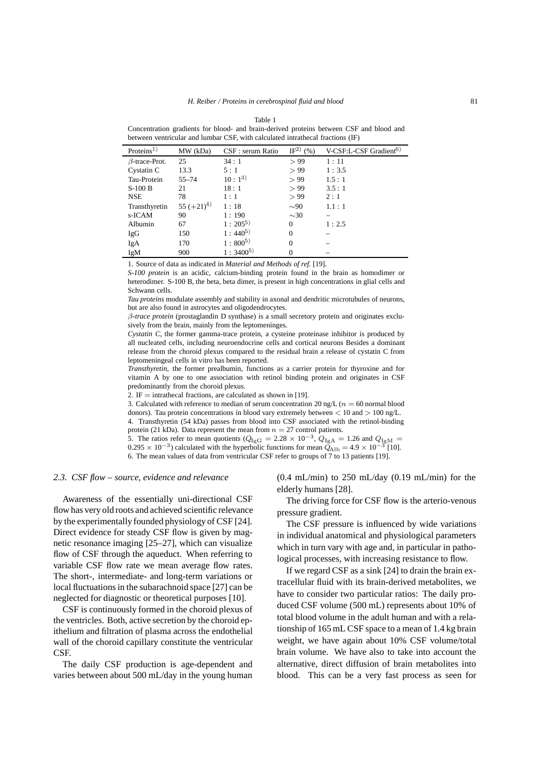Table 1 Concentration gradients for blood- and brain-derived proteins between CSF and blood and between ventricular and lumbar CSF, with calculated intrathecal fractions (IF)

| Proteins <sup>1</sup> | MW (kDa)     | CSF : serum Ratio | IF <sup>2</sup> $(%)$ | V-CSF:L-CSF Gradient <sup>6)</sup> |
|-----------------------|--------------|-------------------|-----------------------|------------------------------------|
| $\beta$ -trace-Prot.  | 25           | 34:1              | > 99                  | 1:11                               |
| Cystatin C            | 13.3         | 5:1               | > 99                  | 1:3.5                              |
| Tau-Protein           | $55 - 74$    | $10:1^{3}$        | > 99                  | 1.5:1                              |
| $S-100B$              | 21           | 18:1              | > 99                  | 3.5:1                              |
| <b>NSE</b>            | 78           | 1:1               | > 99                  | 2:1                                |
| Transthyretin         | $55 (+21)^4$ | 1:18              | $\sim 90$             | 1.1:1                              |
| s-ICAM                | 90           | 1:190             | $\sim 30$             |                                    |
| Albumin               | 67           | $1:205^{5}$       | $\Omega$              | 1:2.5                              |
| IgG                   | 150          | $1:440^{5}$       | $\Omega$              |                                    |
| IgA                   | 170          | $1:800^{5}$       | $\Omega$              |                                    |
| IgM                   | 900          | $1:3400^{5}$      | 0                     |                                    |

1. Source of data as indicated in *Material and Methods of ref.* [19].

*S-100 protein* is an acidic, calcium-binding protein found in the brain as homodimer or heterodimer. S-100 B, the beta, beta dimer, is present in high concentrations in glial cells and Schwann cells.

*Tau proteins* modulate assembly and stability in axonal and dendritic microtubules of neurons, but are also found in astrocytes and oligodendrocytes.

β*-trace protein* (prostaglandin D synthase) is a small secretory protein and originates exclusively from the brain, mainly from the leptomeninges.

*Cystatin C*, the former gamma-trace protein, a cysteine proteinase inhibitor is produced by all nucleated cells, including neuroendocrine cells and cortical neurons Besides a dominant release from the choroid plexus compared to the residual brain a release of cystatin C from leptomeningeal cells in vitro has been reported.

*Transthyretin*, the former prealbumin, functions as a carrier protein for thyroxine and for vitamin A by one to one association with retinol binding protein and originates in CSF predominantly from the choroid plexus.

2. IF = intrathecal fractions, are calculated as shown in [19].

3. Calculated with reference to median of serum concentration 20 ng/L ( $n = 60$  normal blood donors). Tau protein concentrations in blood vary extremely between  $\lt 10$  and  $\gt 100$  ng/L. 4. Transthyretin (54 kDa) passes from blood into CSF associated with the retinol-binding protein (21 kDa). Data represent the mean from  $n = 27$  control patients.

5. The ratios refer to mean quotients ( $Q_{\text{IgG}} = 2.28 \times 10^{-3}$ ,  $Q_{\text{IgA}} = 1.26$  and  $Q_{\text{IgM}} =$  $0.295 \times 10^{-3}$ ) calculated with the hyperbolic functions for mean  $\ddot{Q}_{\text{Alb}} = 4.9 \times 10^{-3}$  [10]. 6. The mean values of data from ventricular CSF refer to groups of 7 to 13 patients [19].

#### *2.3. CSF flow – source, evidence and relevance*

Awareness of the essentially uni-directional CSF flow has very old roots and achieved scientific relevance by the experimentally founded physiology of CSF [24]. Direct evidence for steady CSF flow is given by magnetic resonance imaging [25–27], which can visualize flow of CSF through the aqueduct. When referring to variable CSF flow rate we mean average flow rates. The short-, intermediate- and long-term variations or local fluctuations in the subarachnoid space [27] can be neglected for diagnostic or theoretical purposes [10].

CSF is continuously formed in the choroid plexus of the ventricles. Both, active secretion by the choroid epithelium and filtration of plasma across the endothelial wall of the choroid capillary constitute the ventricular **CSF** 

The daily CSF production is age-dependent and varies between about 500 mL/day in the young human

 $(0.4 \text{ mL/min})$  to 250 mL/day  $(0.19 \text{ mL/min})$  for the elderly humans [28].

The driving force for CSF flow is the arterio-venous pressure gradient.

The CSF pressure is influenced by wide variations in individual anatomical and physiological parameters which in turn vary with age and, in particular in pathological processes, with increasing resistance to flow.

If we regard CSF as a sink [24] to drain the brain extracellular fluid with its brain-derived metabolites, we have to consider two particular ratios: The daily produced CSF volume (500 mL) represents about 10% of total blood volume in the adult human and with a relationship of 165 mL CSF space to a mean of 1.4 kg brain weight, we have again about 10% CSF volume/total brain volume. We have also to take into account the alternative, direct diffusion of brain metabolites into blood. This can be a very fast process as seen for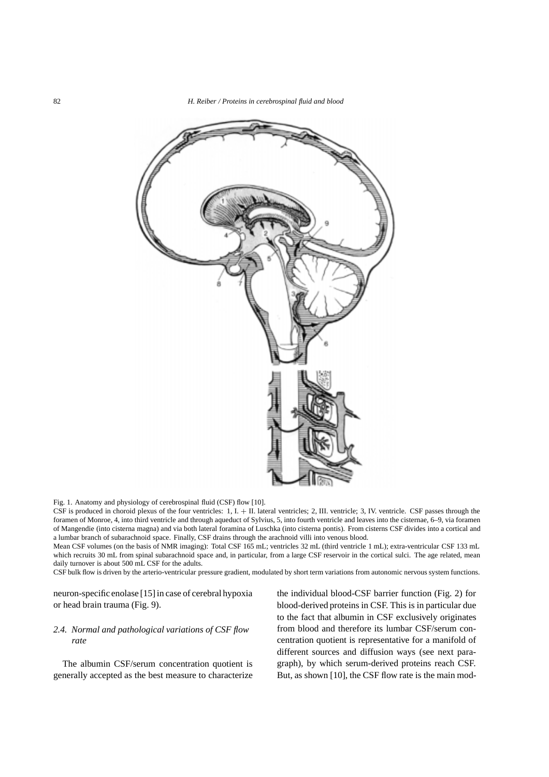

Fig. 1. Anatomy and physiology of cerebrospinal fluid (CSF) flow [10].

CSF is produced in choroid plexus of the four ventricles: 1, I. + II. lateral ventricles; 2, III. ventricle; 3, IV. ventricle. CSF passes through the foramen of Monroe, 4, into third ventricle and through aqueduct of Sylvius, 5, into fourth ventricle and leaves into the cisternae, 6–9, via foramen of Mangendie (into cisterna magna) and via both lateral foramina of Luschka (into cisterna pontis). From cisterns CSF divides into a cortical and a lumbar branch of subarachnoid space. Finally, CSF drains through the arachnoid villi into venous blood.

Mean CSF volumes (on the basis of NMR imaging): Total CSF 165 mL; ventricles 32 mL (third ventricle 1 mL); extra-ventricular CSF 133 mL which recruits 30 mL from spinal subarachnoid space and, in particular, from a large CSF reservoir in the cortical sulci. The age related, mean daily turnover is about 500 mL CSF for the adults.

CSF bulk flow is driven by the arterio-ventricular pressure gradient, modulated by short term variations from autonomic nervous system functions.

neuron-specific enolase [15] in case of cerebral hypoxia or head brain trauma (Fig. 9).

# *2.4. Normal and pathological variations of CSF flow rate*

The albumin CSF/serum concentration quotient is generally accepted as the best measure to characterize the individual blood-CSF barrier function (Fig. 2) for blood-derived proteins in CSF. This is in particular due to the fact that albumin in CSF exclusively originates from blood and therefore its lumbar CSF/serum concentration quotient is representative for a manifold of different sources and diffusion ways (see next paragraph), by which serum-derived proteins reach CSF. But, as shown [10], the CSF flow rate is the main mod-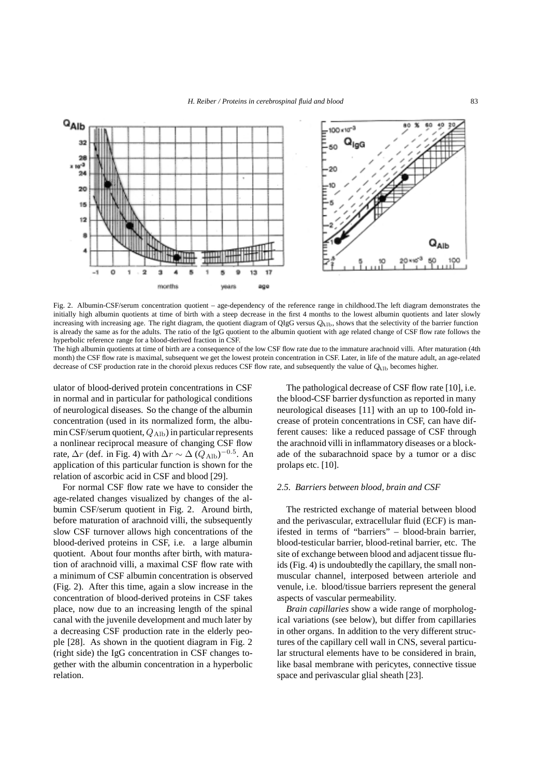

Fig. 2. Albumin-CSF/serum concentration quotient – age-dependency of the reference range in childhood.The left diagram demonstrates the initially high albumin quotients at time of birth with a steep decrease in the first 4 months to the lowest albumin quotients and later slowly increasing with increasing age. The right diagram, the quotient diagram of QIgG versus  $Q_{\text{Alb}}$ , shows that the selectivity of the barrier function is already the same as for the adults. The ratio of the IgG quotient to the albumin quotient with age related change of CSF flow rate follows the hyperbolic reference range for a blood-derived fraction in CSF.

The high albumin quotients at time of birth are a consequence of the low CSF flow rate due to the immature arachnoid villi. After maturation (4th month) the CSF flow rate is maximal, subsequent we get the lowest protein concentration in CSF. Later, in life of the mature adult, an age-related decrease of CSF production rate in the choroid plexus reduces CSF flow rate, and subsequently the value of  $Q_{\rm 41b}$  becomes higher.

ulator of blood-derived protein concentrations in CSF in normal and in particular for pathological conditions of neurological diseases. So the change of the albumin concentration (used in its normalized form, the albumin CSF/serum quotient,  $Q_{\text{Alb}}$ ) in particular represents a nonlinear reciprocal measure of changing CSF flow rate,  $\Delta r$  (def. in Fig. 4) with  $\Delta r \sim \Delta (Q_{\text{Alb}})^{-0.5}$ . An application of this particular function is shown for the relation of ascorbic acid in CSF and blood [29].

For normal CSF flow rate we have to consider the age-related changes visualized by changes of the albumin CSF/serum quotient in Fig. 2. Around birth, before maturation of arachnoid villi, the subsequently slow CSF turnover allows high concentrations of the blood-derived proteins in CSF, i.e. a large albumin quotient. About four months after birth, with maturation of arachnoid villi, a maximal CSF flow rate with a minimum of CSF albumin concentration is observed (Fig. 2). After this time, again a slow increase in the concentration of blood-derived proteins in CSF takes place, now due to an increasing length of the spinal canal with the juvenile development and much later by a decreasing CSF production rate in the elderly people [28]. As shown in the quotient diagram in Fig. 2 (right side) the IgG concentration in CSF changes together with the albumin concentration in a hyperbolic relation.

The pathological decrease of CSF flow rate [10], i.e. the blood-CSF barrier dysfunction as reported in many neurological diseases [11] with an up to 100-fold increase of protein concentrations in CSF, can have different causes: like a reduced passage of CSF through the arachnoid villi in inflammatory diseases or a blockade of the subarachnoid space by a tumor or a disc prolaps etc. [10].

# *2.5. Barriers between blood, brain and CSF*

The restricted exchange of material between blood and the perivascular, extracellular fluid (ECF) is manifested in terms of "barriers" – blood-brain barrier, blood-testicular barrier, blood-retinal barrier, etc. The site of exchange between blood and adjacent tissue fluids (Fig. 4) is undoubtedly the capillary, the small nonmuscular channel, interposed between arteriole and venule, i.e. blood/tissue barriers represent the general aspects of vascular permeability.

*Brain capillaries* show a wide range of morphological variations (see below), but differ from capillaries in other organs. In addition to the very different structures of the capillary cell wall in CNS, several particular structural elements have to be considered in brain, like basal membrane with pericytes, connective tissue space and perivascular glial sheath [23].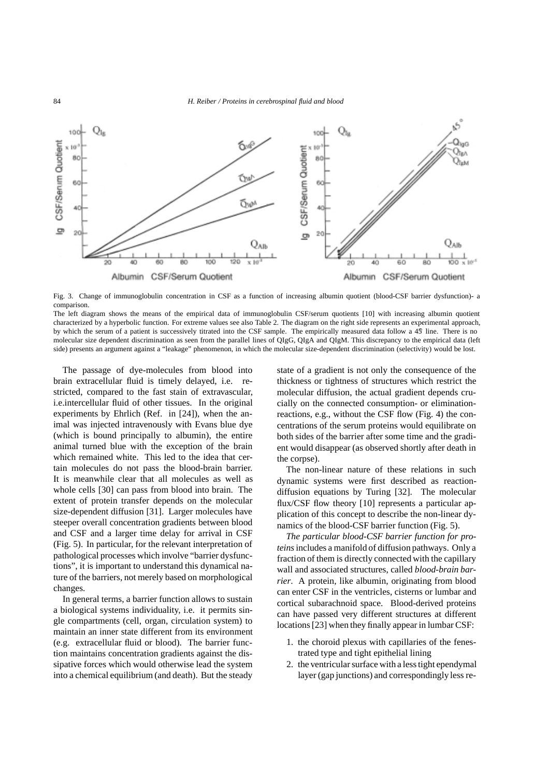

Fig. 3. Change of immunoglobulin concentration in CSF as a function of increasing albumin quotient (blood-CSF barrier dysfunction)- a comparison.

The left diagram shows the means of the empirical data of immunoglobulin CSF/serum quotients [10] with increasing albumin quotient characterized by a hyperbolic function. For extreme values see also Table 2. The diagram on the right side represents an experimental approach, by which the serum of a patient is successively titrated into the CSF sample. The empirically measured data follow a 45 line. There is no molecular size dependent discrimination as seen from the parallel lines of QIgG, QIgA and QIgM. This discrepancy to the empirical data (left side) presents an argument against a "leakage" phenomenon, in which the molecular size-dependent discrimination (selectivity) would be lost.

The passage of dye-molecules from blood into brain extracellular fluid is timely delayed, i.e. restricted, compared to the fast stain of extravascular, i.e.intercellular fluid of other tissues. In the original experiments by Ehrlich (Ref. in [24]), when the animal was injected intravenously with Evans blue dye (which is bound principally to albumin), the entire animal turned blue with the exception of the brain which remained white. This led to the idea that certain molecules do not pass the blood-brain barrier. It is meanwhile clear that all molecules as well as whole cells [30] can pass from blood into brain. The extent of protein transfer depends on the molecular size-dependent diffusion [31]. Larger molecules have steeper overall concentration gradients between blood and CSF and a larger time delay for arrival in CSF (Fig. 5). In particular, for the relevant interpretation of pathological processes which involve "barrier dysfunctions", it is important to understand this dynamical nature of the barriers, not merely based on morphological changes.

In general terms, a barrier function allows to sustain a biological systems individuality, i.e. it permits single compartments (cell, organ, circulation system) to maintain an inner state different from its environment (e.g. extracellular fluid or blood). The barrier function maintains concentration gradients against the dissipative forces which would otherwise lead the system into a chemical equilibrium (and death). But the steady

state of a gradient is not only the consequence of the thickness or tightness of structures which restrict the molecular diffusion, the actual gradient depends crucially on the connected consumption- or eliminationreactions, e.g., without the CSF flow (Fig. 4) the concentrations of the serum proteins would equilibrate on both sides of the barrier after some time and the gradient would disappear (as observed shortly after death in the corpse).

The non-linear nature of these relations in such dynamic systems were first described as reactiondiffusion equations by Turing [32]. The molecular flux/CSF flow theory [10] represents a particular application of this concept to describe the non-linear dynamics of the blood-CSF barrier function (Fig. 5).

*The particular blood-CSF barrier function for proteins*includes a manifold of diffusion pathways. Only a fraction of them is directly connected with the capillary wall and associated structures, called *blood-brain barrier*. A protein, like albumin, originating from blood can enter CSF in the ventricles, cisterns or lumbar and cortical subarachnoid space. Blood-derived proteins can have passed very different structures at different locations [23] when they finally appear in lumbar CSF:

- 1. the choroid plexus with capillaries of the fenestrated type and tight epithelial lining
- 2. the ventricular surface with a less tight ependymal layer (gap junctions) and correspondingly less re-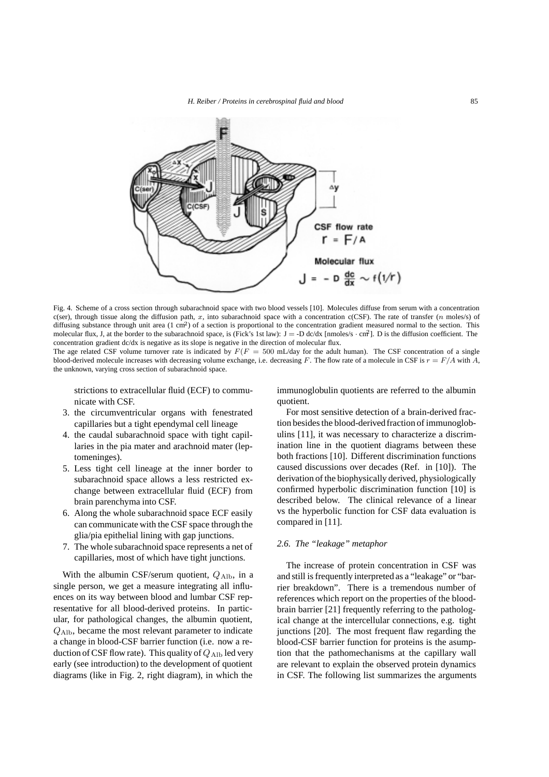

Fig. 4. Scheme of a cross section through subarachnoid space with two blood vessels [10]. Molecules diffuse from serum with a concentration c(ser), through tissue along the diffusion path, x, into subarachnoid space with a concentration c(CSF). The rate of transfer (n moles/s) of diffusing substance through unit area  $(1 \text{ cm}^2)$  of a section is proportional to the concentration gradient measured normal to the section. This molecular flux, J, at the border to the subarachnoid space, is (Fick's 1st law):  $J = -D \frac{dc}{dx}$  [nmoles/s  $\cdot$  cm<sup>2</sup>]. D is the diffusion coefficient. The concentration gradient dc/dx is negative as its slope is negative in the direction of molecular flux.

The age related CSF volume turnover rate is indicated by  $F(F = 500 \text{ mL/day}$  for the adult human). The CSF concentration of a single blood-derived molecule increases with decreasing volume exchange, i.e. decreasing F. The flow rate of a molecule in CSF is  $r = F/A$  with A. the unknown, varying cross section of subarachnoid space.

strictions to extracellular fluid (ECF) to communicate with CSF.

- 3. the circumventricular organs with fenestrated capillaries but a tight ependymal cell lineage
- 4. the caudal subarachnoid space with tight capillaries in the pia mater and arachnoid mater (leptomeninges).
- 5. Less tight cell lineage at the inner border to subarachnoid space allows a less restricted exchange between extracellular fluid (ECF) from brain parenchyma into CSF.
- 6. Along the whole subarachnoid space ECF easily can communicate with the CSF space through the glia/pia epithelial lining with gap junctions.
- 7. The whole subarachnoid space represents a net of capillaries, most of which have tight junctions.

With the albumin CSF/serum quotient,  $Q_{\text{Alb}}$ , in a single person, we get a measure integrating all influences on its way between blood and lumbar CSF representative for all blood-derived proteins. In particular, for pathological changes, the albumin quotient,  $Q_{\text{Alb}}$ , became the most relevant parameter to indicate a change in blood-CSF barrier function (i.e. now a reduction of CSF flow rate). This quality of  $Q_{\text{Alb}}$  led very early (see introduction) to the development of quotient diagrams (like in Fig. 2, right diagram), in which the

immunoglobulin quotients are referred to the albumin quotient.

For most sensitive detection of a brain-derived fraction besides the blood-derivedfraction of immunoglobulins [11], it was necessary to characterize a discrimination line in the quotient diagrams between these both fractions [10]. Different discrimination functions caused discussions over decades (Ref. in [10]). The derivation of the biophysically derived, physiologically confirmed hyperbolic discrimination function [10] is described below. The clinical relevance of a linear vs the hyperbolic function for CSF data evaluation is compared in [11].

# *2.6. The "leakage" metaphor*

The increase of protein concentration in CSF was and still is frequently interpreted as a "leakage" or "barrier breakdown". There is a tremendous number of references which report on the properties of the bloodbrain barrier [21] frequently referring to the pathological change at the intercellular connections, e.g. tight junctions [20]. The most frequent flaw regarding the blood-CSF barrier function for proteins is the asumption that the pathomechanisms at the capillary wall are relevant to explain the observed protein dynamics in CSF. The following list summarizes the arguments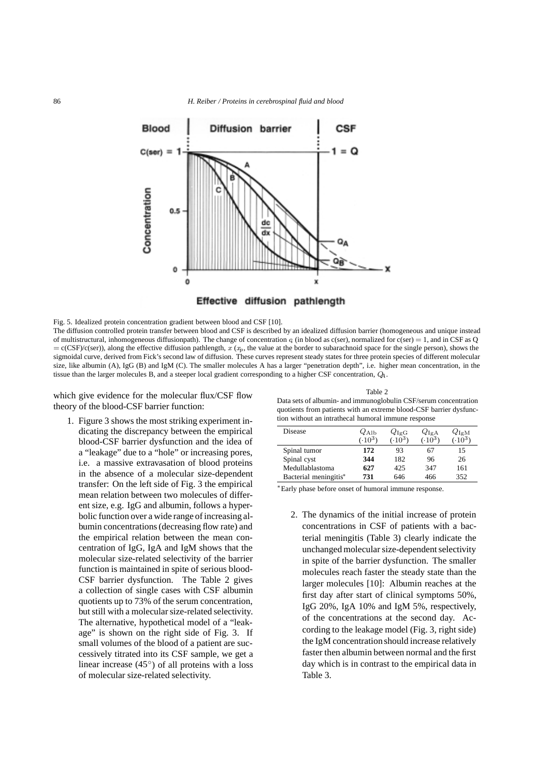



Effective diffusion pathlength

Fig. 5. Idealized protein concentration gradient between blood and CSF [10].

The diffusion controlled protein transfer between blood and CSF is described by an idealized diffusion barrier (homogeneous and unique instead of multistructural, inhomogeneous diffusionpath). The change of concentration  $\sigma$  (in blood as c(ser), normalized for c(ser) = 1, and in CSF as Q  $= c(CSF)/c(ser)$ , along the effective diffusion pathlength, x (x<sub>p</sub>, the value at the border to subarachnoid space for the single person), shows the sigmoidal curve, derived from Fick's second law of diffusion. These curves represent steady states for three protein species of different molecular size, like albumin (A), IgG (B) and IgM (C). The smaller molecules A has a larger "penetration depth", i.e. higher mean concentration, in the tissue than the larger molecules B, and a steeper local gradient corresponding to a higher CSF concentration, Q*A*.

which give evidence for the molecular flux/CSF flow theory of the blood-CSF barrier function:

1. Figure 3 shows the most striking experiment indicating the discrepancy between the empirical blood-CSF barrier dysfunction and the idea of a "leakage" due to a "hole" or increasing pores, i.e. a massive extravasation of blood proteins in the absence of a molecular size-dependent transfer: On the left side of Fig. 3 the empirical mean relation between two molecules of different size, e.g. IgG and albumin, follows a hyperbolic function over a wide range of increasing albumin concentrations (decreasing flow rate) and the empirical relation between the mean concentration of IgG, IgA and IgM shows that the molecular size-related selectivity of the barrier function is maintained in spite of serious blood-CSF barrier dysfunction. The Table 2 gives a collection of single cases with CSF albumin quotients up to 73% of the serum concentration, but still with a molecular size-related selectivity. The alternative, hypothetical model of a "leakage" is shown on the right side of Fig. 3. If small volumes of the blood of a patient are successively titrated into its CSF sample, we get a linear increase  $(45°)$  of all proteins with a loss of molecular size-related selectivity.

Table 2 Data sets of albumin- and immunoglobulin CSF/serum concentration quotients from patients with an extreme blood-CSF barrier dysfunction without an intrathecal humoral immune response

| <b>Disease</b>        | $2$ Alb<br>$(.10^3)$ | $Q_{\rm IgG}$<br>$(0.10^{3})$ | $Q_{\rm IgA}$<br>$-10^{3}$ | $Q_{\mathrm{IgM}}$<br>$10^{3}$ |
|-----------------------|----------------------|-------------------------------|----------------------------|--------------------------------|
| Spinal tumor          | 172                  | 93                            | 67                         | 15                             |
| Spinal cyst           | 344                  | 182                           | 96                         | 26                             |
| Medullablastoma       | 627                  | 425                           | 347                        | 161                            |
| Bacterial meningitis* | 731                  | 646                           | 466                        | 352                            |

∗Early phase before onset of humoral immune response.

2. The dynamics of the initial increase of protein concentrations in CSF of patients with a bacterial meningitis (Table 3) clearly indicate the unchanged molecular size-dependent selectivity in spite of the barrier dysfunction. The smaller molecules reach faster the steady state than the larger molecules [10]: Albumin reaches at the first day after start of clinical symptoms 50%, IgG 20%, IgA 10% and IgM 5%, respectively, of the concentrations at the second day. According to the leakage model (Fig. 3, right side) the IgM concentration should increase relatively faster then albumin between normal and the first day which is in contrast to the empirical data in Table 3.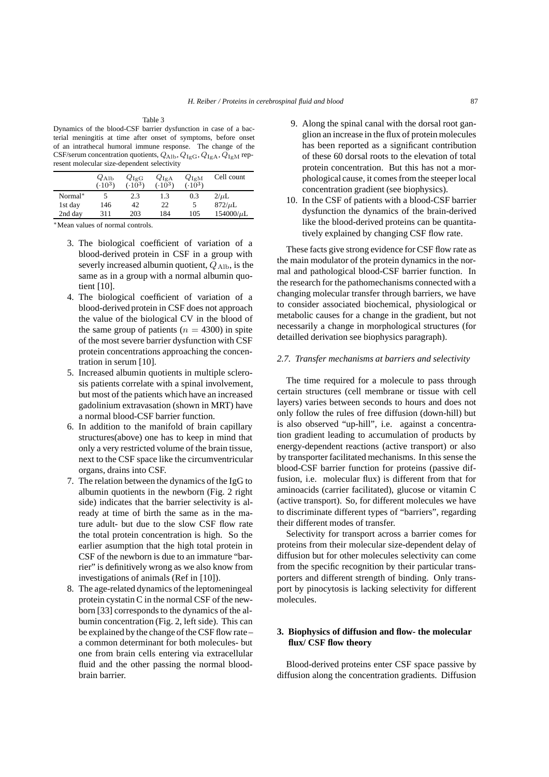Table 3 Dynamics of the blood-CSF barrier dysfunction in case of a bacterial meningitis at time after onset of symptoms, before onset of an intrathecal humoral immune response. The change of the CSF/serum concentration quotients,  $Q_{\rm Alb}$ ,  $Q_{\rm IgG}$ ,  $Q_{\rm IgA}$ ,  $Q_{\rm IgM}$  represent molecular size-dependent selectivity

|         | $Q_{\rm Alb}$<br>$(.10^3)$ | $Q_{\rm IgG} \over {(0.10^3)}$ | $Q_{\rm IgA}$<br>(.10 <sup>3</sup> ) | $Q_{\rm{IgM}}$<br>$(.10^{3})$ | Cell count     |
|---------|----------------------------|--------------------------------|--------------------------------------|-------------------------------|----------------|
| Normal* |                            | 2.3                            | 1.3                                  | 0.3                           | $2/\mu L$      |
| 1st day | 146                        | 42                             | 22                                   |                               | $872/\mu L$    |
| 2nd day | 311                        | 203                            | 184                                  | 105                           | $154000/\mu L$ |

∗Mean values of normal controls.

- 3. The biological coefficient of variation of a blood-derived protein in CSF in a group with severly increased albumin quotient,  $Q_{\text{Alb}}$ , is the same as in a group with a normal albumin quotient [10].
- 4. The biological coefficient of variation of a blood-derived protein in CSF does not approach the value of the biological CV in the blood of the same group of patients ( $n = 4300$ ) in spite of the most severe barrier dysfunction with CSF protein concentrations approaching the concentration in serum [10].
- 5. Increased albumin quotients in multiple sclerosis patients correlate with a spinal involvement, but most of the patients which have an increased gadolinium extravasation (shown in MRT) have a normal blood-CSF barrier function.
- 6. In addition to the manifold of brain capillary structures(above) one has to keep in mind that only a very restricted volume of the brain tissue, next to the CSF space like the circumventricular organs, drains into CSF.
- 7. The relation between the dynamics of the IgG to albumin quotients in the newborn (Fig. 2 right side) indicates that the barrier selectivity is already at time of birth the same as in the mature adult- but due to the slow CSF flow rate the total protein concentration is high. So the earlier asumption that the high total protein in CSF of the newborn is due to an immature "barrier" is definitively wrong as we also know from investigations of animals (Ref in [10]).
- 8. The age-related dynamics of the leptomeningeal protein cystatin C in the normal CSF of the newborn [33] corresponds to the dynamics of the albumin concentration (Fig. 2, left side). This can be explained by the change of the CSF flow rate – a common determinant for both molecules- but one from brain cells entering via extracellular fluid and the other passing the normal bloodbrain barrier.
- 9. Along the spinal canal with the dorsal root ganglion an increase in the flux of protein molecules has been reported as a significant contribution of these 60 dorsal roots to the elevation of total protein concentration. But this has not a morphological cause, it comes from the steeper local concentration gradient (see biophysics).
- 10. In the CSF of patients with a blood-CSF barrier dysfunction the dynamics of the brain-derived like the blood-derived proteins can be quantitatively explained by changing CSF flow rate.

These facts give strong evidence for CSF flow rate as the main modulator of the protein dynamics in the normal and pathological blood-CSF barrier function. In the research for the pathomechanisms connected with a changing molecular transfer through barriers, we have to consider associated biochemical, physiological or metabolic causes for a change in the gradient, but not necessarily a change in morphological structures (for detailled derivation see biophysics paragraph).

### *2.7. Transfer mechanisms at barriers and selectivity*

The time required for a molecule to pass through certain structures (cell membrane or tissue with cell layers) varies between seconds to hours and does not only follow the rules of free diffusion (down-hill) but is also observed "up-hill", i.e. against a concentration gradient leading to accumulation of products by energy-dependent reactions (active transport) or also by transporter facilitated mechanisms. In this sense the blood-CSF barrier function for proteins (passive diffusion, i.e. molecular flux) is different from that for aminoacids (carrier facilitated), glucose or vitamin C (active transport). So, for different molecules we have to discriminate different types of "barriers", regarding their different modes of transfer.

Selectivity for transport across a barrier comes for proteins from their molecular size-dependent delay of diffusion but for other molecules selectivity can come from the specific recognition by their particular transporters and different strength of binding. Only transport by pinocytosis is lacking selectivity for different molecules.

# **3. Biophysics of diffusion and flow- the molecular flux/ CSF flow theory**

Blood-derived proteins enter CSF space passive by diffusion along the concentration gradients. Diffusion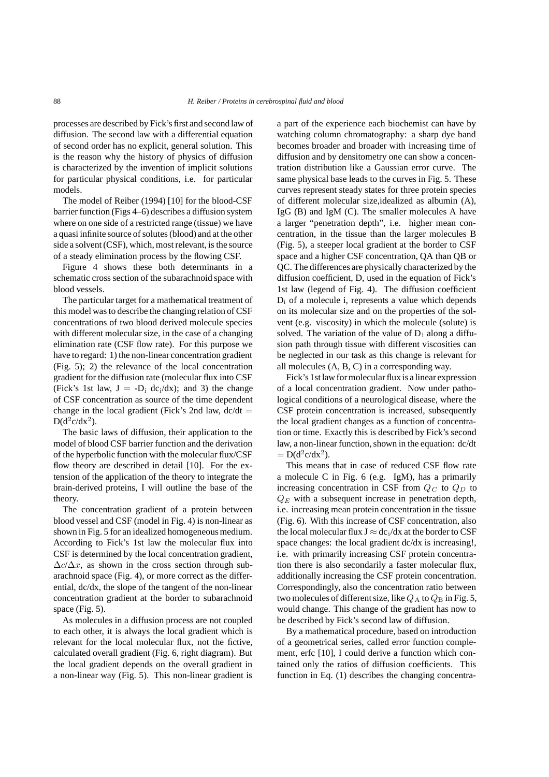processes are described by Fick's first and second law of diffusion. The second law with a differential equation of second order has no explicit, general solution. This is the reason why the history of physics of diffusion is characterized by the invention of implicit solutions for particular physical conditions, i.e. for particular models.

The model of Reiber (1994) [10] for the blood-CSF barrier function (Figs 4–6) describes a diffusion system where on one side of a restricted range (tissue) we have a quasi infinite source of solutes (blood) and at the other side a solvent (CSF), which, most relevant, is the source of a steady elimination process by the flowing CSF.

Figure 4 shows these both determinants in a schematic cross section of the subarachnoid space with blood vessels.

The particular target for a mathematical treatment of this model was to describe the changing relation of CSF concentrations of two blood derived molecule species with different molecular size, in the case of a changing elimination rate (CSF flow rate). For this purpose we have to regard: 1) the non-linear concentration gradient (Fig. 5); 2) the relevance of the local concentration gradient for the diffusion rate (molecular flux into CSF (Fick's 1st law,  $J = -D_i dc_i/dx$ ); and 3) the change of CSF concentration as source of the time dependent change in the local gradient (Fick's 2nd law,  $dc/dt =$  $D(d^2c/dx^2)$ .

The basic laws of diffusion, their application to the model of blood CSF barrier function and the derivation of the hyperbolic function with the molecular flux/CSF flow theory are described in detail [10]. For the extension of the application of the theory to integrate the brain-derived proteins, I will outline the base of the theory.

The concentration gradient of a protein between blood vessel and CSF (model in Fig. 4) is non-linear as shown in Fig. 5 for an idealized homogeneous medium. According to Fick's 1st law the molecular flux into CSF is determined by the local concentration gradient,  $\Delta c/\Delta x$ , as shown in the cross section through subarachnoid space (Fig. 4), or more correct as the differential, dc/dx, the slope of the tangent of the non-linear concentration gradient at the border to subarachnoid space (Fig. 5).

As molecules in a diffusion process are not coupled to each other, it is always the local gradient which is relevant for the local molecular flux, not the fictive, calculated overall gradient (Fig. 6, right diagram). But the local gradient depends on the overall gradient in a non-linear way (Fig. 5). This non-linear gradient is

a part of the experience each biochemist can have by watching column chromatography: a sharp dye band becomes broader and broader with increasing time of diffusion and by densitometry one can show a concentration distribution like a Gaussian error curve. The same physical base leads to the curves in Fig. 5. These curves represent steady states for three protein species of different molecular size,idealized as albumin (A), IgG (B) and IgM (C). The smaller molecules A have a larger "penetration depth", i.e. higher mean concentration, in the tissue than the larger molecules B (Fig. 5), a steeper local gradient at the border to CSF space and a higher CSF concentration, QA than QB or QC. The differences are physically characterized by the diffusion coefficient, D, used in the equation of Fick's 1st law (legend of Fig. 4). The diffusion coefficient  $D_i$  of a molecule i, represents a value which depends on its molecular size and on the properties of the solvent (e.g. viscosity) in which the molecule (solute) is solved. The variation of the value of  $D_i$  along a diffusion path through tissue with different viscosities can be neglected in our task as this change is relevant for all molecules (A, B, C) in a corresponding way.

Fick's 1st law for molecular flux is a linear expression of a local concentration gradient. Now under pathological conditions of a neurological disease, where the CSF protein concentration is increased, subsequently the local gradient changes as a function of concentration or time. Exactly this is described by Fick's second law, a non-linear function, shown in the equation: dc/dt  $= D(d^2c/dx^2)$ .

This means that in case of reduced CSF flow rate a molecule C in Fig. 6 (e.g. IgM), has a primarily increasing concentration in CSF from Q*<sup>C</sup>* to Q*<sup>D</sup>* to Q*<sup>E</sup>* with a subsequent increase in penetration depth, i.e. increasing mean protein concentration in the tissue (Fig. 6). With this increase of CSF concentration, also the local molecular flux  $J \approx dc_i/dx$  at the border to CSF space changes: the local gradient dc/dx is increasing!, i.e. with primarily increasing CSF protein concentration there is also secondarily a faster molecular flux, additionally increasing the CSF protein concentration. Correspondingly, also the concentration ratio between two molecules of different size, like  $Q_A$  to  $Q_B$  in Fig. 5, would change. This change of the gradient has now to be described by Fick's second law of diffusion.

By a mathematical procedure, based on introduction of a geometrical series, called error function complement, erfc [10], I could derive a function which contained only the ratios of diffusion coefficients. This function in Eq. (1) describes the changing concentra-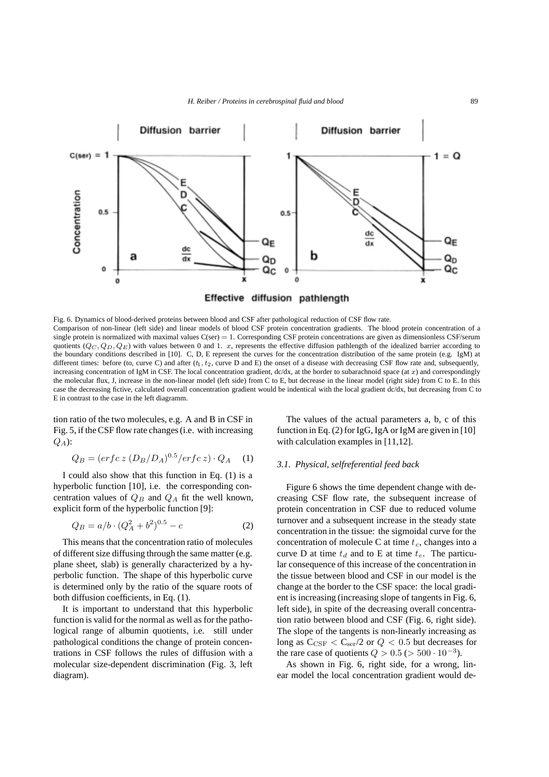

Fig. 6. Dynamics of blood-derived proteins between blood and CSF after pathological reduction of CSF flow rate. Comparison of non-linear (left side) and linear models of blood CSF protein concentration gradients. The blood protein concentration of a single protein is normalized with maximal values  $C(\text{ser}) = 1$ . Corresponding CSF protein concentrations are given as dimensionless CSF/serum quotients  $(Q_C, Q_D, Q_E)$  with values between 0 and 1. x, represents the effective diffusion pathlength of the idealized barrier according to the boundary conditions described in [10]. C, D, E represent the curves for the concentration distribution of the same protein (e.g. IgM) at different times: before (to, curve C) and after  $(t_1, t_2)$ , curve D and E) the onset of a disease with decreasing CSF flow rate and, subsequently, increasing concentration of IgM in CSF. The local concentration gradient,  $dc/dx$ , at the border to subarachnoid space (at  $x$ ) and correspondingly the molecular flux, J, increase in the non-linear model (left side) from C to E, but decrease in the linear model (right side) from C to E. In this case the decreasing fictive, calculated overall concentration gradient would be indentical with the local gradient dc/dx, but decreasing from C to E in contrast to the case in the left diagramm.

tion ratio of the two molecules, e.g. A and B in CSF in Fig. 5, if the CSF flow rate changes (i.e. with increasing Q*A*):

$$
Q_B = (erfc \, z \, (D_B/D_A)^{0.5} / erfc \, z) \cdot Q_A \quad (1)
$$

I could also show that this function in Eq. (1) is a hyperbolic function [10], i.e. the corresponding concentration values of  $Q_B$  and  $Q_A$  fit the well known, explicit form of the hyperbolic function [9]:

$$
Q_B = a/b \cdot (Q_A^2 + b^2)^{0.5} - c \tag{2}
$$

This means that the concentration ratio of molecules of different size diffusing through the same matter (e.g. plane sheet, slab) is generally characterized by a hyperbolic function. The shape of this hyperbolic curve is determined only by the ratio of the square roots of both diffusion coefficients, in Eq. (1).

It is important to understand that this hyperbolic function is valid for the normal as well as for the pathological range of albumin quotients, i.e. still under pathological conditions the change of protein concentrations in CSF follows the rules of diffusion with a molecular size-dependent discrimination (Fig. 3, left diagram).

The values of the actual parameters a, b, c of this function in Eq. (2) for IgG, IgA or IgM are given in [10] with calculation examples in [11,12].

#### *3.1. Physical, selfreferential feed back*

Figure 6 shows the time dependent change with decreasing CSF flow rate, the subsequent increase of protein concentration in CSF due to reduced volume turnover and a subsequent increase in the steady state concentration in the tissue: the sigmoidal curve for the concentration of molecule C at time  $t_c$ , changes into a curve D at time  $t_d$  and to E at time  $t_e$ . The particular consequence of this increase of the concentration in the tissue between blood and CSF in our model is the change at the border to the CSF space: the local gradient is increasing (increasing slope of tangents in Fig. 6, left side), in spite of the decreasing overall concentration ratio between blood and CSF (Fig. 6, right side). The slope of the tangents is non-linearly increasing as long as  $C_{\text{CSF}} < C_{\text{ser}}/2$  or  $Q < 0.5$  but decreases for the rare case of quotients  $Q > 0.5$  ( $> 500 \cdot 10^{-3}$ ).

As shown in Fig. 6, right side, for a wrong, linear model the local concentration gradient would de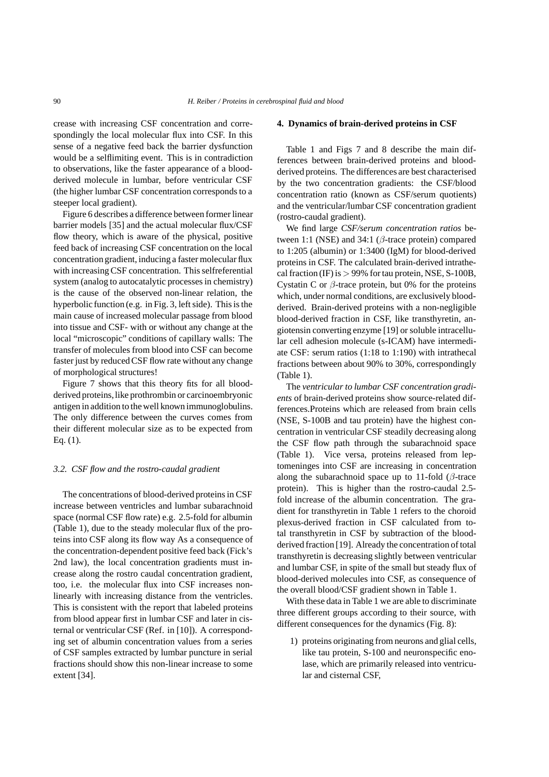crease with increasing CSF concentration and correspondingly the local molecular flux into CSF. In this sense of a negative feed back the barrier dysfunction would be a selflimiting event. This is in contradiction to observations, like the faster appearance of a bloodderived molecule in lumbar, before ventricular CSF (the higher lumbar CSF concentration corresponds to a steeper local gradient).

Figure 6 describes a difference between former linear barrier models [35] and the actual molecular flux/CSF flow theory, which is aware of the physical, positive feed back of increasing CSF concentration on the local concentration gradient, inducing a faster molecular flux with increasing CSF concentration. This selfreferential system (analog to autocatalytic processes in chemistry) is the cause of the observed non-linear relation, the hyperbolic function (e.g. in Fig. 3, left side). This is the main cause of increased molecular passage from blood into tissue and CSF- with or without any change at the local "microscopic" conditions of capillary walls: The transfer of molecules from blood into CSF can become faster just by reduced CSF flow rate without any change of morphological structures!

Figure 7 shows that this theory fits for all bloodderived proteins, like prothrombin or carcinoembryonic antigen in addition to the well known immunoglobulins. The only difference between the curves comes from their different molecular size as to be expected from Eq. (1).

## *3.2. CSF flow and the rostro-caudal gradient*

The concentrations of blood-derived proteins in CSF increase between ventricles and lumbar subarachnoid space (normal CSF flow rate) e.g. 2.5-fold for albumin (Table 1), due to the steady molecular flux of the proteins into CSF along its flow way As a consequence of the concentration-dependent positive feed back (Fick's 2nd law), the local concentration gradients must increase along the rostro caudal concentration gradient, too, i.e. the molecular flux into CSF increases nonlinearly with increasing distance from the ventricles. This is consistent with the report that labeled proteins from blood appear first in lumbar CSF and later in cisternal or ventricular CSF (Ref. in [10]). A corresponding set of albumin concentration values from a series of CSF samples extracted by lumbar puncture in serial fractions should show this non-linear increase to some extent [34].

#### **4. Dynamics of brain-derived proteins in CSF**

Table 1 and Figs 7 and 8 describe the main differences between brain-derived proteins and bloodderived proteins. The differences are best characterised by the two concentration gradients: the CSF/blood concentration ratio (known as CSF/serum quotients) and the ventricular/lumbar CSF concentration gradient (rostro-caudal gradient).

We find large *CSF/serum concentration ratios* between 1:1 (NSE) and 34:1 ( $\beta$ -trace protein) compared to 1:205 (albumin) or 1:3400 (IgM) for blood-derived proteins in CSF. The calculated brain-derived intrathecal fraction (IF) is  $> 99\%$  for tau protein, NSE, S-100B, Cystatin C or  $\beta$ -trace protein, but 0% for the proteins which, under normal conditions, are exclusively bloodderived. Brain-derived proteins with a non-negligible blood-derived fraction in CSF, like transthyretin, angiotensin converting enzyme [19] or soluble intracellular cell adhesion molecule (s-ICAM) have intermediate CSF: serum ratios (1:18 to 1:190) with intrathecal fractions between about 90% to 30%, correspondingly (Table 1).

The *ventricular to lumbar CSF concentration gradients* of brain-derived proteins show source-related differences.Proteins which are released from brain cells (NSE, S-100B and tau protein) have the highest concentration in ventricular CSF steadily decreasing along the CSF flow path through the subarachnoid space (Table 1). Vice versa, proteins released from leptomeninges into CSF are increasing in concentration along the subarachnoid space up to 11-fold ( $\beta$ -trace protein). This is higher than the rostro-caudal 2.5 fold increase of the albumin concentration. The gradient for transthyretin in Table 1 refers to the choroid plexus-derived fraction in CSF calculated from total transthyretin in CSF by subtraction of the bloodderived fraction [19]. Already the concentration of total transthyretin is decreasing slightly between ventricular and lumbar CSF, in spite of the small but steady flux of blood-derived molecules into CSF, as consequence of the overall blood/CSF gradient shown in Table 1.

With these data in Table 1 we are able to discriminate three different groups according to their source, with different consequences for the dynamics (Fig. 8):

1) proteins originating from neurons and glial cells, like tau protein, S-100 and neuronspecific enolase, which are primarily released into ventricular and cisternal CSF,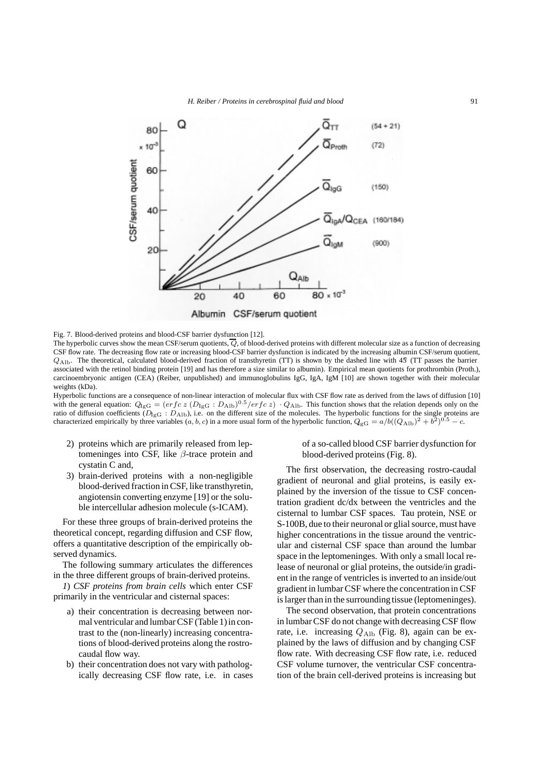

Fig. 7. Blood-derived proteins and blood-CSF barrier dysfunction [12].

The hyperbolic curves show the mean CSF/serum quotients,  $\overline{Q}$ , of blood-derived proteins with different molecular size as a function of decreasing CSF flow rate. The decreasing flow rate or increasing blood-CSF barrier dysfunction is indicated by the increasing albumin CSF/serum quotient,  $Q_{\text{Alb}}$ . The theoretical, calculated blood-derived fraction of transthyretin (TT) is shown by the dashed line with 45 (TT passes the barrier associated with the retinol binding protein [19] and has therefore a size similar to albumin). Empirical mean quotients for prothrombin (Proth.), carcinoembryonic antigen (CEA) (Reiber, unpublished) and immunoglobulins IgG, IgA, IgM [10] are shown together with their molecular weights (kDa).

Hyperbolic functions are a consequence of non-linear interaction of molecular flux with CSF flow rate as derived from the laws of diffusion [10] with the general equation:  $Q_{\text{IgG}} = (erfc z (D_{\text{IgG}} : D_{\text{Alb}})^{0.5}/erfc z) \cdot Q_{\text{Alb}}$ . This function shows that the relation depends only on the ratio of diffusion coefficients  $(D_{\text{IGG}} : D_{\text{Alb}})$ , i.e. on the different size of the molecules. The hyperbolic functions for the single proteins are characterized empirically by three variables  $(a, b, c)$  in a more usual form of the hyperbolic function,  $Q_{\text{gG}} = a/b((Q_{\text{Alb}})^2 + b^2)^{0.5} - c$ .

- 2) proteins which are primarily released from leptomeninges into CSF, like  $\beta$ -trace protein and cystatin C and,
- 3) brain-derived proteins with a non-negligible blood-derived fraction in CSF, like transthyretin, angiotensin converting enzyme [19] or the soluble intercellular adhesion molecule (s-ICAM).

For these three groups of brain-derived proteins the theoretical concept, regarding diffusion and CSF flow, offers a quantitative description of the empirically observed dynamics.

The following summary articulates the differences in the three different groups of brain-derived proteins.

*1*) *CSF proteins from brain cells* which enter CSF primarily in the ventricular and cisternal spaces:

- a) their concentration is decreasing between normal ventricular and lumbar CSF (Table 1) in contrast to the (non-linearly) increasing concentrations of blood-derived proteins along the rostrocaudal flow way.
- b) their concentration does not vary with pathologically decreasing CSF flow rate, i.e. in cases

of a so-called blood CSF barrier dysfunction for blood-derived proteins (Fig. 8).

The first observation, the decreasing rostro-caudal gradient of neuronal and glial proteins, is easily explained by the inversion of the tissue to CSF concentration gradient dc/dx between the ventricles and the cisternal to lumbar CSF spaces. Tau protein, NSE or S-100B, due to their neuronal or glial source, must have higher concentrations in the tissue around the ventricular and cisternal CSF space than around the lumbar space in the leptomeninges. With only a small local release of neuronal or glial proteins, the outside/in gradient in the range of ventricles is inverted to an inside/out gradient in lumbar CSF where the concentration in CSF is larger than in the surrounding tissue (leptomeninges).

The second observation, that protein concentrations in lumbar CSF do not change with decreasing CSF flow rate, i.e. increasing  $Q_{\text{Alb}}$  (Fig. 8), again can be explained by the laws of diffusion and by changing CSF flow rate. With decreasing CSF flow rate, i.e. reduced CSF volume turnover, the ventricular CSF concentration of the brain cell-derived proteins is increasing but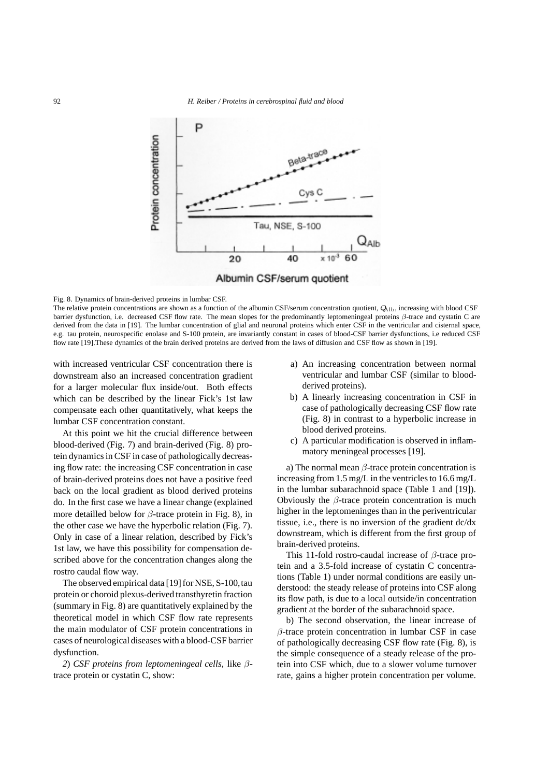

#### Fig. 8. Dynamics of brain-derived proteins in lumbar CSF.

The relative protein concentrations are shown as a function of the albumin CSF/serum concentration quotient,  $Q_{\rm 1D}$ , increasing with blood CSF barrier dysfunction, i.e. decreased CSF flow rate. The mean slopes for the predominantly leptomeningeal proteins β-trace and cystatin C are derived from the data in [19]. The lumbar concentration of glial and neuronal proteins which enter CSF in the ventricular and cisternal space, e.g. tau protein, neurospecific enolase and S-100 protein, are invariantly constant in cases of blood-CSF barrier dysfunctions, i.e reduced CSF flow rate [19].These dynamics of the brain derived proteins are derived from the laws of diffusion and CSF flow as shown in [19].

with increased ventricular CSF concentration there is downstream also an increased concentration gradient for a larger molecular flux inside/out. Both effects which can be described by the linear Fick's 1st law compensate each other quantitatively, what keeps the lumbar CSF concentration constant.

At this point we hit the crucial difference between blood-derived (Fig. 7) and brain-derived (Fig. 8) protein dynamics in CSF in case of pathologically decreasing flow rate: the increasing CSF concentration in case of brain-derived proteins does not have a positive feed back on the local gradient as blood derived proteins do. In the first case we have a linear change (explained more detailled below for  $\beta$ -trace protein in Fig. 8), in the other case we have the hyperbolic relation (Fig. 7). Only in case of a linear relation, described by Fick's 1st law, we have this possibility for compensation described above for the concentration changes along the rostro caudal flow way.

The observed empirical data [19] for NSE, S-100, tau protein or choroid plexus-derived transthyretin fraction (summary in Fig. 8) are quantitatively explained by the theoretical model in which CSF flow rate represents the main modulator of CSF protein concentrations in cases of neurological diseases with a blood-CSF barrier dysfunction.

*2*) *CSF proteins from leptomeningeal cells*, like βtrace protein or cystatin C, show:

- a) An increasing concentration between normal ventricular and lumbar CSF (similar to bloodderived proteins).
- b) A linearly increasing concentration in CSF in case of pathologically decreasing CSF flow rate (Fig. 8) in contrast to a hyperbolic increase in blood derived proteins.
- c) A particular modification is observed in inflammatory meningeal processes [19].

a) The normal mean  $\beta$ -trace protein concentration is increasing from 1.5 mg/L in the ventricles to 16.6 mg/L in the lumbar subarachnoid space (Table 1 and [19]). Obviously the  $\beta$ -trace protein concentration is much higher in the leptomeninges than in the periventricular tissue, i.e., there is no inversion of the gradient dc/dx downstream, which is different from the first group of brain-derived proteins.

This 11-fold rostro-caudal increase of  $\beta$ -trace protein and a 3.5-fold increase of cystatin C concentrations (Table 1) under normal conditions are easily understood: the steady release of proteins into CSF along its flow path, is due to a local outside/in concentration gradient at the border of the subarachnoid space.

b) The second observation, the linear increase of β-trace protein concentration in lumbar CSF in case of pathologically decreasing CSF flow rate (Fig. 8), is the simple consequence of a steady release of the protein into CSF which, due to a slower volume turnover rate, gains a higher protein concentration per volume.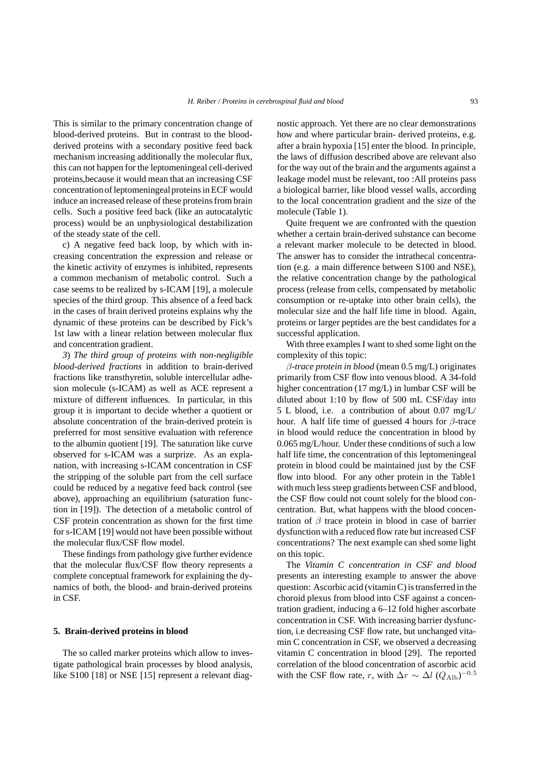This is similar to the primary concentration change of blood-derived proteins. But in contrast to the bloodderived proteins with a secondary positive feed back mechanism increasing additionally the molecular flux, this can not happen for the leptomeningeal cell-derived proteins,because it would mean that an increasing CSF concentration of leptomeningealproteins in ECF would induce an increased release of these proteins from brain cells. Such a positive feed back (like an autocatalytic process) would be an unphysiological destabilization of the steady state of the cell.

c) A negative feed back loop, by which with increasing concentration the expression and release or the kinetic activity of enzymes is inhibited, represents a common mechanism of metabolic control. Such a case seems to be realized by s-ICAM [19], a molecule species of the third group. This absence of a feed back in the cases of brain derived proteins explains why the dynamic of these proteins can be described by Fick's 1st law with a linear relation between molecular flux and concentration gradient.

*3*) *The third group of proteins with non-negligible blood-derived fractions* in addition to brain-derived fractions like transthyretin, soluble intercellular adhesion molecule (s-ICAM) as well as ACE represent a mixture of different influences. In particular, in this group it is important to decide whether a quotient or absolute concentration of the brain-derived protein is preferred for most sensitive evaluation with reference to the albumin quotient [19]. The saturation like curve observed for s-ICAM was a surprize. As an explanation, with increasing s-ICAM concentration in CSF the stripping of the soluble part from the cell surface could be reduced by a negative feed back control (see above), approaching an equilibrium (saturation function in [19]). The detection of a metabolic control of CSF protein concentration as shown for the first time for s-ICAM [19] would not have been possible without the molecular flux/CSF flow model.

These findings from pathology give further evidence that the molecular flux/CSF flow theory represents a complete conceptual framework for explaining the dynamics of both, the blood- and brain-derived proteins in CSF.

# **5. Brain-derived proteins in blood**

The so called marker proteins which allow to investigate pathological brain processes by blood analysis, like S100 [18] or NSE [15] represent a relevant diagnostic approach. Yet there are no clear demonstrations how and where particular brain- derived proteins, e.g. after a brain hypoxia [15] enter the blood. In principle, the laws of diffusion described above are relevant also for the way out of the brain and the arguments against a leakage model must be relevant, too :All proteins pass a biological barrier, like blood vessel walls, according to the local concentration gradient and the size of the molecule (Table 1).

Quite frequent we are confronted with the question whether a certain brain-derived substance can become a relevant marker molecule to be detected in blood. The answer has to consider the intrathecal concentration (e.g. a main difference between S100 and NSE), the relative concentration change by the pathological process (release from cells, compensated by metabolic consumption or re-uptake into other brain cells), the molecular size and the half life time in blood. Again, proteins or larger peptides are the best candidates for a successful application.

With three examples I want to shed some light on the complexity of this topic:

β*-trace protein in blood* (mean 0.5 mg/L) originates primarily from CSF flow into venous blood. A 34-fold higher concentration (17 mg/L) in lumbar CSF will be diluted about 1:10 by flow of 500 mL CSF/day into 5 L blood, i.e. a contribution of about 0.07 mg/L/ hour. A half life time of guessed 4 hours for  $\beta$ -trace in blood would reduce the concentration in blood by 0.065 mg/L/hour. Under these conditions of such a low half life time, the concentration of this leptomeningeal protein in blood could be maintained just by the CSF flow into blood. For any other protein in the Table1 with much less steep gradients between CSF and blood, the CSF flow could not count solely for the blood concentration. But, what happens with the blood concentration of  $\beta$  trace protein in blood in case of barrier dysfunction with a reduced flow rate but increased CSF concentrations? The next example can shed some light on this topic.

The *Vitamin C concentration in CSF and blood* presents an interesting example to answer the above question: Ascorbic acid (vitamin C) is transferred in the choroid plexus from blood into CSF against a concentration gradient, inducing a 6–12 fold higher ascorbate concentration in CSF. With increasing barrier dysfunction, i.e decreasing CSF flow rate, but unchanged vitamin C concentration in CSF, we observed a decreasing vitamin C concentration in blood [29]. The reported correlation of the blood concentration of ascorbic acid with the CSF flow rate, r, with  $\Delta r \sim \Delta l \ (Q_{\rm Alb})^{-0.5}$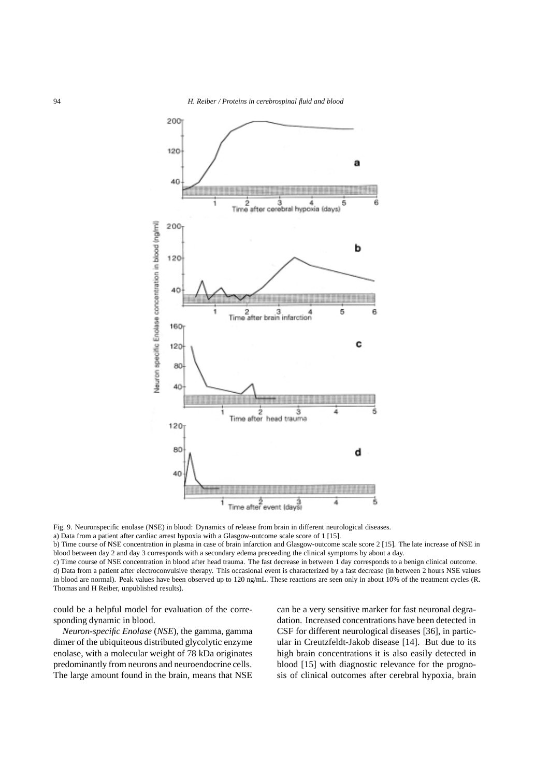

Fig. 9. Neuronspecific enolase (NSE) in blood: Dynamics of release from brain in different neurological diseases.

a) Data from a patient after cardiac arrest hypoxia with a Glasgow-outcome scale score of 1 [15].

b) Time course of NSE concentration in plasma in case of brain infarction and Glasgow-outcome scale score 2 [15]. The late increase of NSE in blood between day 2 and day 3 corresponds with a secondary edema preceeding the clinical symptoms by about a day.

c) Time course of NSE concentration in blood after head trauma. The fast decrease in between 1 day corresponds to a benign clinical outcome. d) Data from a patient after electroconvulsive therapy. This occasional event is characterized by a fast decrease (in between 2 hours NSE values in blood are normal). Peak values have been observed up to 120 ng/mL. These reactions are seen only in about 10% of the treatment cycles (R. Thomas and H Reiber, unpublished results).

could be a helpful model for evaluation of the corresponding dynamic in blood.

*Neuron-specific Enolase* (*NSE*), the gamma, gamma dimer of the ubiquiteous distributed glycolytic enzyme enolase, with a molecular weight of 78 kDa originates predominantly from neurons and neuroendocrine cells. The large amount found in the brain, means that NSE can be a very sensitive marker for fast neuronal degradation. Increased concentrations have been detected in CSF for different neurological diseases [36], in particular in Creutzfeldt-Jakob disease [14]. But due to its high brain concentrations it is also easily detected in blood [15] with diagnostic relevance for the prognosis of clinical outcomes after cerebral hypoxia, brain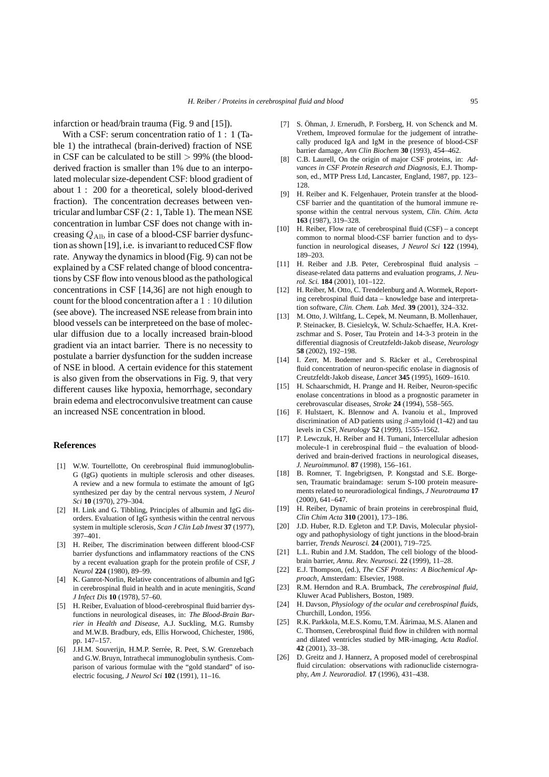infarction or head/brain trauma (Fig. 9 and [15]).

With a CSF: serum concentration ratio of 1 : 1 (Table 1) the intrathecal (brain-derived) fraction of NSE in CSF can be calculated to be still  $> 99\%$  (the bloodderived fraction is smaller than 1% due to an interpolated molecular size-dependent CSF: blood gradient of about 1 : 200 for a theoretical, solely blood-derived fraction). The concentration decreases between ventricular and lumbar CSF (2 : 1, Table 1). The mean NSE concentration in lumbar CSF does not change with increasing  $Q_{\text{Alb}}$  in case of a blood-CSF barrier dysfunction as shown [19], i.e. is invariant to reduced CSF flow rate. Anyway the dynamics in blood (Fig. 9) can not be explained by a CSF related change of blood concentrations by CSF flow into venous blood as the pathological concentrations in CSF [14,36] are not high enough to count for the blood concentration after a 1 : 10 dilution (see above). The increased NSE release from brain into blood vessels can be interpreteed on the base of molecular diffusion due to a locally increased brain-blood gradient via an intact barrier. There is no necessity to postulate a barrier dysfunction for the sudden increase of NSE in blood. A certain evidence for this statement is also given from the observations in Fig. 9, that very different causes like hypoxia, hemorrhage, secondary brain edema and electroconvulsive treatment can cause an increased NSE concentration in blood.

#### **References**

- [1] W.W. Tourtellotte, On cerebrospinal fluid immunoglobulin-G (IgG) quotients in multiple sclerosis and other diseases. A review and a new formula to estimate the amount of IgG synthesized per day by the central nervous system, *J Neurol Sci* **10** (1970), 279–304.
- [2] H. Link and G. Tibbling, Principles of albumin and IgG disorders. Evaluation of IgG synthesis within the central nervous system in multiple sclerosis, *Scan J Clin Lab Invest* **37** (1977), 397–401.
- [3] H. Reiber, The discrimination between different blood-CSF barrier dysfunctions and inflammatory reactions of the CNS by a recent evaluation graph for the protein profile of CSF, *J Neurol* **224** (1980), 89–99.
- [4] K. Ganrot-Norlin, Relative concentrations of albumin and IgG in cerebrospinal fluid in health and in acute meningitis, *Scand J Infect Dis* **10** (1978), 57–60.
- [5] H. Reiber, Evaluation of blood-cerebrospinal fluid barrier dysfunctions in neurological diseases, in: *The Blood-Brain Barrier in Health and Disease,* A.J. Suckling, M.G. Rumsby and M.W.B. Bradbury, eds, Ellis Horwood, Chichester, 1986, pp. 147–157.
- [6] J.H.M. Souverijn, H.M.P. Serrée, R. Peet, S.W. Grenzebach and G.W. Bruyn, Intrathecal immunoglobulin synthesis. Comparison of various formulae with the "gold standard" of isoelectric focusing, *J Neurol Sci* **102** (1991), 11–16.
- [7] S. Öhman, J. Ernerudh, P. Forsberg, H. von Schenck and M. Vrethem, Improved formulae for the judgement of intrathecally produced IgA and IgM in the presence of blood-CSF barrier damage, *Ann Clin Biochem* **30** (1993), 454–462.
- [8] C.B. Laurell, On the origin of major CSF proteins, in: *Advances in CSF Protein Research and Diagnosis,* E.J. Thompson, ed., MTP Press Ltd, Lancaster, England, 1987, pp. 123– 128.
- [9] H. Reiber and K. Felgenhauer, Protein transfer at the blood-CSF barrier and the quantitation of the humoral immune response within the central nervous system, *Clin. Chim. Acta* **163** (1987), 319–328.
- [10] H. Reiber, Flow rate of cerebrospinal fluid (CSF) a concept common to normal blood-CSF barrier function and to dysfunction in neurological diseases, *J Neurol Sci* **122** (1994), 189–203.
- [11] H. Reiber and J.B. Peter, Cerebrospinal fluid analysis disease-related data patterns and evaluation programs, *J. Neurol. Sci.* **184** (2001), 101–122.
- [12] H. Reiber, M. Otto, C. Trendelenburg and A. Wormek, Reporting cerebrospinal fluid data – knowledge base and interpretation software, *Clin. Chem. Lab. Med.* **39** (2001), 324–332.
- [13] M. Otto, J. Wiltfang, L. Cepek, M. Neumann, B. Mollenhauer, P. Steinacker, B. Ciesielcyk, W. Schulz-Schaeffer, H.A. Kretzschmar and S. Poser, Tau Protein and 14-3-3 protein in the differential diagnosis of Creutzfeldt-Jakob disease, *Neurology* **58** (2002), 192–198.
- [14] I. Zerr, M. Bodemer and S. Räcker et al., Cerebrospinal fluid concentration of neuron-specific enolase in diagnosis of Creutzfeldt-Jakob disease, *Lancet* **345** (1995), 1609–1610.
- [15] H. Schaarschmidt, H. Prange and H. Reiber, Neuron-specific enolase concentrations in blood as a prognostic parameter in cerebrovascular diseases, *Stroke* **24** (1994), 558–565.
- [16] F. Hulstaert, K. Blennow and A. Ivanoiu et al., Improved discrimination of AD patients using  $\beta$ -amyloid (1-42) and tau levels in CSF, *Neurology* **52** (1999), 1555–1562.
- [17] P. Lewczuk, H. Reiber and H. Tumani, Intercellular adhesion molecule-1 in cerebrospinal fluid – the evaluation of bloodderived and brain-derived fractions in neurological diseases, *J. Neuroimmunol.* **87** (1998), 156–161.
- [18] B. Romner, T. Ingebrigtsen, P. Kongstad and S.E. Borgesen, Traumatic braindamage: serum S-100 protein measurements related to neuroradiological findings, *J Neurotrauma* **17** (2000), 641–647.
- [19] H. Reiber, Dynamic of brain proteins in cerebrospinal fluid, *Clin Chim Acta* **310** (2001), 173–186.
- [20] J.D. Huber, R.D. Egleton and T.P. Davis, Molecular physiology and pathophysiology of tight junctions in the blood-brain barrier, *Trends Neurosci.* **24** (2001), 719–725.
- [21] L.L. Rubin and J.M. Staddon, The cell biology of the bloodbrain barrier, *Annu. Rev. Neurosci.* **22** (1999), 11–28.
- [22] E.J. Thompson, (ed.), *The CSF Proteins: A Biochemical Approach,* Amsterdam: Elsevier, 1988.
- [23] R.M. Herndon and R.A. Brumback, *The cerebrospinal fluid,* Kluwer Acad Publishers, Boston, 1989.
- [24] H. Davson, *Physiology of the ocular and cerebrospinal fluids,* Churchill, London, 1956.
- [25] R.K. Parkkola, M.E.S. Komu, T.M. Äärimaa, M.S. Alanen and C. Thomsen, Cerebrospinal fluid flow in children with normal and dilated ventricles studied by MR-imaging, *Acta Radiol.* **42** (2001), 33–38.
- [26] D. Greitz and J. Hannerz, A proposed model of cerebrospinal fluid circulation: observations with radionuclide cisternography, *Am J. Neuroradiol.* **17** (1996), 431–438.